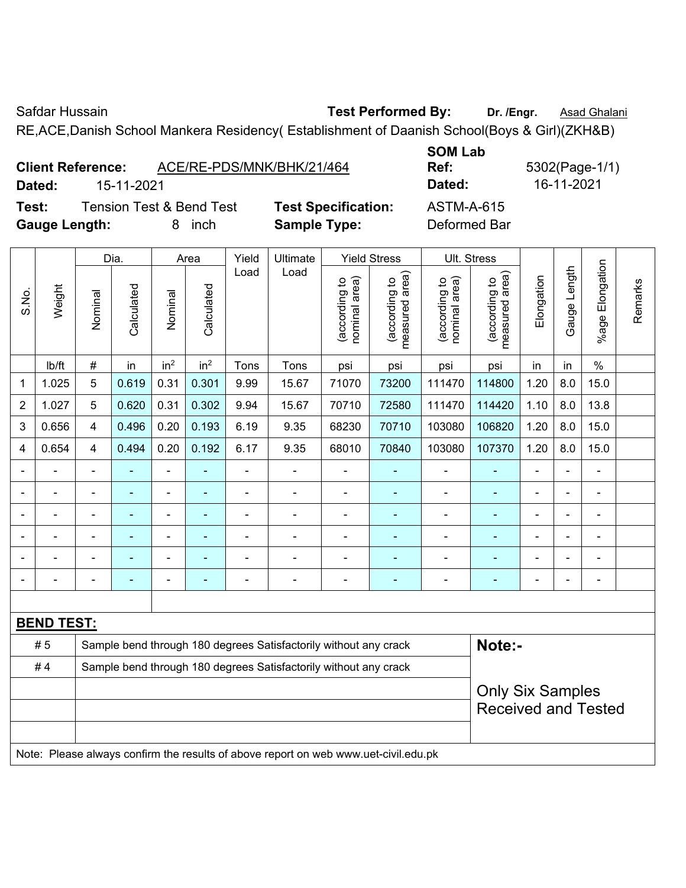Safdar Hussain **Test Performed By:** Dr. /Engr. **Asad Ghalani** Care and Dr. /Engr. **Asad Ghalani** 

RE,ACE,Danish School Mankera Residency( Establishment of Daanish School(Boys & Girl)(ZKH&B)

|        | ACE/RE-PDS/MNK/BHK/21/464<br><b>Client Reference:</b> |                            | --------<br>Ref: |
|--------|-------------------------------------------------------|----------------------------|------------------|
| Dated: | 15-11-2021                                            |                            | Dated:           |
| Test:  | <b>Tension Test &amp; Bend Test</b>                   | <b>Test Specification:</b> | ASTM-A-615       |

**Gauge Length:** 8 inch **Sample Type:** Deformed Bar

**SOM Lab Ref:** 5302(Page-1/1) **Dated:** 15-11-2021 **Dated:** 16-11-2021

|                |                   |                | Dia.           |                 | Area            | Yield                                                            | Ultimate                                                         |                                | <b>Yield Stress</b>             |                                | Ult. Stress                     |                |              |                       |         |
|----------------|-------------------|----------------|----------------|-----------------|-----------------|------------------------------------------------------------------|------------------------------------------------------------------|--------------------------------|---------------------------------|--------------------------------|---------------------------------|----------------|--------------|-----------------------|---------|
| S.No.          | Weight            | Nominal        | Calculated     | Nominal         | Calculated      | Load                                                             | Load                                                             | nominal area)<br>(according to | (according to<br>measured area) | nominal area)<br>(according to | (according to<br>measured area) | Elongation     | Gauge Length | Elongation<br>$%$ age | Remarks |
|                | lb/ft             | $\#$           | in             | in <sup>2</sup> | in <sup>2</sup> | Tons                                                             | Tons                                                             | psi                            | psi                             | psi                            | psi                             | in             | in           | $\frac{0}{0}$         |         |
| 1              | 1.025             | 5              | 0.619          | 0.31            | 0.301           | 9.99                                                             | 15.67                                                            | 71070                          | 73200                           | 111470                         | 114800                          | 1.20           | 8.0          | 15.0                  |         |
| 2              | 1.027             | 5              | 0.620          | 0.31            | 0.302           | 9.94                                                             | 15.67                                                            | 70710                          | 72580                           | 111470                         | 114420                          | 1.10           | 8.0          | 13.8                  |         |
| 3              | 0.656             | $\overline{4}$ | 0.496          | 0.20            | 0.193           | 6.19                                                             | 9.35                                                             | 68230                          | 70710                           | 103080                         | 106820                          | 1.20           | 8.0          | 15.0                  |         |
| 4              | 0.654             | $\overline{4}$ | 0.494          | 0.20            | 0.192           | 6.17                                                             | 9.35                                                             | 68010                          | 70840                           | 103080                         | 107370                          | 1.20           | 8.0          | 15.0                  |         |
|                |                   |                |                | $\overline{a}$  |                 |                                                                  |                                                                  |                                |                                 |                                |                                 |                |              |                       |         |
|                |                   | $\blacksquare$ |                | $\blacksquare$  |                 | ÷                                                                | ä,                                                               | $\blacksquare$                 | ۰                               | $\blacksquare$                 | $\blacksquare$                  | ä,             |              | L,                    |         |
| $\blacksquare$ | -                 | ÷              | $\blacksquare$ | $\blacksquare$  | $\blacksquare$  | ÷                                                                | ÷                                                                | $\overline{a}$                 | ٠                               | $\overline{\phantom{a}}$       | $\overline{a}$                  | $\blacksquare$ |              | $\blacksquare$        |         |
|                |                   | $\blacksquare$ |                | $\blacksquare$  |                 | ÷                                                                |                                                                  | $\blacksquare$                 |                                 | $\blacksquare$                 | $\overline{\phantom{a}}$        | ä,             |              | ä,                    |         |
|                |                   |                |                | $\blacksquare$  |                 |                                                                  |                                                                  | $\blacksquare$                 |                                 | ä,                             | $\blacksquare$                  | $\blacksquare$ |              | L,                    |         |
|                |                   |                |                | ۰               |                 | $\blacksquare$                                                   | $\blacksquare$                                                   | $\qquad \qquad \blacksquare$   |                                 | ٠                              |                                 |                |              | $\blacksquare$        |         |
|                |                   |                |                |                 |                 |                                                                  |                                                                  |                                |                                 |                                |                                 |                |              |                       |         |
|                | <b>BEND TEST:</b> |                |                |                 |                 |                                                                  |                                                                  |                                |                                 |                                |                                 |                |              |                       |         |
|                | #5                |                |                |                 |                 |                                                                  | Sample bend through 180 degrees Satisfactorily without any crack |                                |                                 |                                | Note:-                          |                |              |                       |         |
|                | #4                |                |                |                 |                 | Sample bend through 180 degrees Satisfactorily without any crack |                                                                  |                                |                                 |                                |                                 |                |              |                       |         |
|                |                   |                |                |                 |                 |                                                                  |                                                                  |                                |                                 |                                | <b>Only Six Samples</b>         |                |              |                       |         |
|                |                   |                |                |                 |                 |                                                                  |                                                                  |                                |                                 |                                | <b>Received and Tested</b>      |                |              |                       |         |
|                |                   |                |                |                 |                 |                                                                  |                                                                  |                                |                                 |                                |                                 |                |              |                       |         |

Note: Please always confirm the results of above report on web www.uet-civil.edu.pk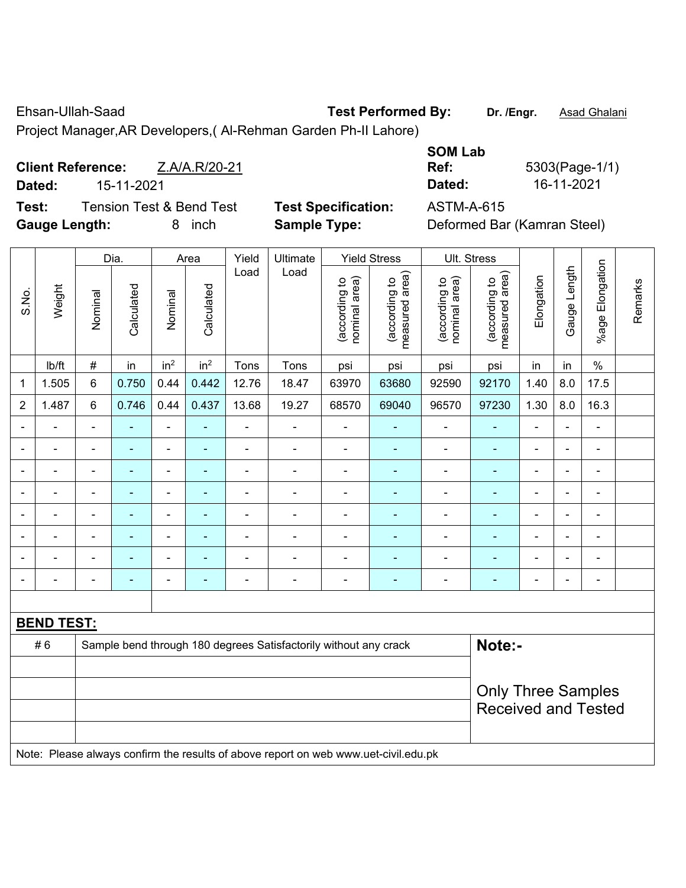Ehsan-Ullah-Saad **Test Performed By: Dr. /Engr.** Asad Ghalani

Project Manager,AR Developers,( Al-Rehman Garden Ph-II Lahore)

|              | <b>Client Reference:</b><br>Z.A/A.R/20-21 |                     | Ref:       | 5303(Page-1/ |
|--------------|-------------------------------------------|---------------------|------------|--------------|
| Dated:       | 15-11-2021                                |                     | Dated:     | 16-11-2021   |
| <b>Toot:</b> | Tongian Toot & Dand Toot                  | Taat Caaaifiaatian: | ACTM A G45 |              |

**Test:** Tension Test & Bend Test **Test Specification:** ASTM-A-615 **Gauge Length:** 8 inch **Sample Type:** Deformed Bar (Kamran Steel)

| <b>SOM Lab</b> |                |
|----------------|----------------|
| Ref:           | 5303(Page-1/1) |
| Dated:         | 16-11-2021     |
| .<br><u>_</u>  |                |

|                          |                   |                | Dia.                      |                              | Area            | Yield          | Ultimate                                                                            |                                | <b>Yield Stress</b>             |                                | Ult. Stress                     |                          |                |                          |         |  |
|--------------------------|-------------------|----------------|---------------------------|------------------------------|-----------------|----------------|-------------------------------------------------------------------------------------|--------------------------------|---------------------------------|--------------------------------|---------------------------------|--------------------------|----------------|--------------------------|---------|--|
| S.No.                    | Weight            | Nominal        | Calculated                | Nominal                      | Calculated      | Load           | Load                                                                                | nominal area)<br>(according to | measured area)<br>(according to | nominal area)<br>(according to | measured area)<br>(according to | Elongation               | Gauge Length   | %age Elongation          | Remarks |  |
|                          | lb/ft             | $\#$           | in                        | in <sup>2</sup>              | in <sup>2</sup> | Tons           | Tons                                                                                | psi                            | psi                             | psi                            | psi                             | in                       | in             | $\%$                     |         |  |
| 1                        | 1.505             | 6              | 0.750                     | 0.44                         | 0.442           | 12.76          | 18.47                                                                               | 63970                          | 63680                           | 92590                          | 92170                           | 1.40                     | 8.0            | 17.5                     |         |  |
| $\overline{2}$           | 1.487             | 6              | 0.746                     | 0.44                         | 0.437           | 13.68          | 19.27                                                                               | 68570                          | 69040                           | 96570                          | 97230                           | 1.30                     | 8.0            | 16.3                     |         |  |
|                          | ä,                | $\blacksquare$ |                           | ÷,                           | Ξ               | ÷              | ÷,                                                                                  | $\blacksquare$                 | $\blacksquare$                  | $\qquad \qquad \blacksquare$   | ÷                               | $\blacksquare$           | ÷,             | ÷,                       |         |  |
| $\overline{\phantom{a}}$ |                   | $\blacksquare$ | $\blacksquare$            | $\overline{a}$               | $\blacksquare$  | ÷,             | ÷,                                                                                  | $\blacksquare$                 | $\blacksquare$                  | $\overline{\phantom{0}}$       | $\blacksquare$                  | ä,                       | ÷,             | $\overline{\phantom{a}}$ |         |  |
| $\blacksquare$           | $\overline{a}$    | $\blacksquare$ | ä,                        | $\blacksquare$               | ۰               | ä,             | $\blacksquare$                                                                      | $\blacksquare$                 | $\blacksquare$                  | $\blacksquare$                 | $\blacksquare$                  | $\blacksquare$           | $\blacksquare$ | $\blacksquare$           |         |  |
|                          | $\blacksquare$    | $\blacksquare$ | $\blacksquare$            | $\qquad \qquad \blacksquare$ | $\blacksquare$  | ä,             | $\blacksquare$                                                                      | $\blacksquare$                 | $\overline{\phantom{a}}$        | $\qquad \qquad \blacksquare$   | $\blacksquare$                  | $\blacksquare$           | ÷,             | $\blacksquare$           |         |  |
|                          | L,                |                | Ē,                        | ÷,                           | ۰               | $\blacksquare$ | $\blacksquare$                                                                      | $\blacksquare$                 | $\blacksquare$                  | $\blacksquare$                 | $\blacksquare$                  | $\blacksquare$           | $\blacksquare$ | $\blacksquare$           |         |  |
|                          |                   |                |                           | ۰                            |                 |                |                                                                                     |                                |                                 |                                | ۰                               |                          |                | $\overline{\phantom{0}}$ |         |  |
|                          |                   |                |                           | ÷                            |                 |                |                                                                                     |                                |                                 |                                |                                 |                          |                |                          |         |  |
| $\overline{\phantom{0}}$ | $\overline{a}$    | $\blacksquare$ | ٠                         | ۰                            | ۰               | $\blacksquare$ | $\blacksquare$                                                                      | $\blacksquare$                 | $\overline{\phantom{a}}$        | -                              | ۳                               | $\overline{\phantom{0}}$ | $\blacksquare$ | $\blacksquare$           |         |  |
|                          |                   |                |                           |                              |                 |                |                                                                                     |                                |                                 |                                |                                 |                          |                |                          |         |  |
|                          | <b>BEND TEST:</b> |                |                           |                              |                 |                |                                                                                     |                                |                                 |                                |                                 |                          |                |                          |         |  |
|                          | #6                |                |                           |                              |                 |                | Sample bend through 180 degrees Satisfactorily without any crack                    |                                |                                 |                                | Note:-                          |                          |                |                          |         |  |
|                          |                   |                |                           |                              |                 |                |                                                                                     |                                |                                 |                                |                                 |                          |                |                          |         |  |
|                          |                   |                | <b>Only Three Samples</b> |                              |                 |                |                                                                                     |                                |                                 |                                |                                 |                          |                |                          |         |  |
|                          |                   |                |                           |                              |                 |                |                                                                                     |                                |                                 |                                | <b>Received and Tested</b>      |                          |                |                          |         |  |
|                          |                   |                |                           |                              |                 |                |                                                                                     |                                |                                 |                                |                                 |                          |                |                          |         |  |
|                          |                   |                |                           |                              |                 |                | Note: Please always confirm the results of above report on web www.uet-civil.edu.pk |                                |                                 |                                |                                 |                          |                |                          |         |  |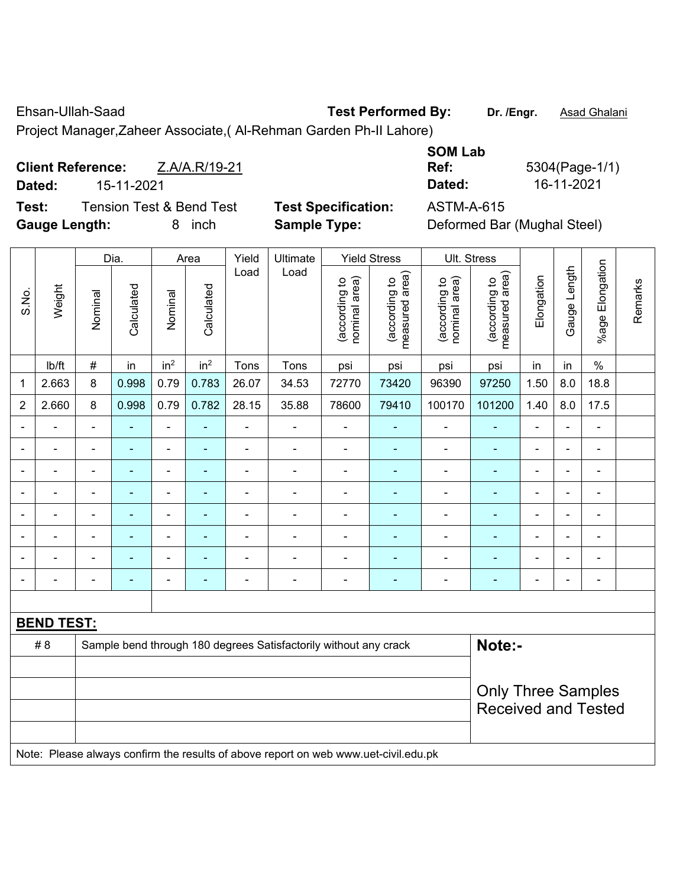Ehsan-Ullah-Saad **Test Performed By: Dr. /Engr.** Asad Ghalani

Project Manager,Zaheer Associate,( Al-Rehman Garden Ph-II Lahore)

**Client Reference:** Z.A/A.R/19-21 **Dated:** 15-11-2021 **Dated:** 16-11-2021

**Test:** Tension Test & Bend Test **Test Specification:** ASTM-A-615 **Gauge Length:** 8 inch **Sample Type:** Deformed Bar (Mughal Steel)

| <b>SOM Lab</b>           |                |
|--------------------------|----------------|
| Ref:                     | 5304(Page-1/1) |
| Dated:                   | 16-11-2021     |
| 8 <del>0 T</del> M & OAF |                |

|                |                   | Yield<br>Ultimate<br>Dia.<br>Area |                          |                          |                 |                          |                                                                                     | <b>Yield Stress</b>            |                                 | Ult. Stress                    |                                 |                |                |                       |         |
|----------------|-------------------|-----------------------------------|--------------------------|--------------------------|-----------------|--------------------------|-------------------------------------------------------------------------------------|--------------------------------|---------------------------------|--------------------------------|---------------------------------|----------------|----------------|-----------------------|---------|
| S.No.          | Weight            | Nominal                           | Calculated               | Nominal                  | Calculated      | Load                     | Load                                                                                | (according to<br>nominal area) | (according to<br>measured area) | (according to<br>nominal area) | (according to<br>measured area) | Elongation     | Gauge Length   | Elongation<br>$%$ age | Remarks |
|                | lb/ft             | #                                 | in                       | in <sup>2</sup>          | in <sup>2</sup> | Tons                     | Tons                                                                                | psi                            | psi                             | psi                            | psi                             | in             | in             | $\%$                  |         |
| 1              | 2.663             | 8                                 | 0.998                    | 0.79                     | 0.783           | 26.07                    | 34.53                                                                               | 72770                          | 73420                           | 96390                          | 97250                           | 1.50           | 8.0            | 18.8                  |         |
| $\overline{2}$ | 2.660             | 8                                 | 0.998                    | 0.79                     | 0.782           | 28.15                    | 35.88                                                                               | 78600                          | 79410                           | 100170                         | 101200                          | 1.40           | 8.0            | 17.5                  |         |
| $\blacksquare$ | ÷,                | $\blacksquare$                    | ÷,                       | $\blacksquare$           | $\blacksquare$  | $\blacksquare$           | $\overline{\phantom{a}}$                                                            | ä,                             | ÷                               | $\blacksquare$                 | ٠                               | $\blacksquare$ | $\blacksquare$ | $\blacksquare$        |         |
| $\blacksquare$ | ÷,                | $\blacksquare$                    | ÷,                       | $\overline{\phantom{a}}$ | $\blacksquare$  | $\blacksquare$           | ÷,                                                                                  | $\blacksquare$                 | ÷                               | $\blacksquare$                 | ٠                               | $\blacksquare$ | $\blacksquare$ | $\blacksquare$        |         |
| $\blacksquare$ | ä,                | $\blacksquare$                    | ÷,                       | ÷,                       | $\blacksquare$  | $\blacksquare$           | $\blacksquare$                                                                      | $\blacksquare$                 | ٠                               | $\blacksquare$                 | ä,                              | $\blacksquare$ | $\blacksquare$ | $\blacksquare$        |         |
|                | $\blacksquare$    | ä,                                |                          | $\blacksquare$           |                 | $\blacksquare$           | Ē,                                                                                  | $\blacksquare$                 |                                 | $\blacksquare$                 | $\blacksquare$                  | $\blacksquare$ |                | $\blacksquare$        |         |
|                |                   | $\blacksquare$                    |                          |                          |                 |                          | $\blacksquare$                                                                      | $\blacksquare$                 |                                 | $\overline{\phantom{0}}$       | ٠                               | $\blacksquare$ |                | $\blacksquare$        |         |
|                | $\blacksquare$    | $\blacksquare$                    |                          | ÷                        | $\blacksquare$  | $\blacksquare$           | ÷                                                                                   | $\blacksquare$                 |                                 | $\blacksquare$                 | $\blacksquare$                  | $\blacksquare$ | $\blacksquare$ | $\blacksquare$        |         |
|                |                   | L,                                |                          | ÷                        |                 |                          |                                                                                     | $\blacksquare$                 |                                 | ÷                              | ÷                               | $\blacksquare$ |                | $\blacksquare$        |         |
| ۰              | ۰                 | $\blacksquare$                    | $\overline{\phantom{0}}$ | $\overline{a}$           | $\blacksquare$  | $\overline{\phantom{0}}$ | $\blacksquare$                                                                      | $\qquad \qquad \blacksquare$   | ۰                               | $\blacksquare$                 | ٠                               | $\blacksquare$ |                | $\blacksquare$        |         |
|                |                   |                                   |                          |                          |                 |                          |                                                                                     |                                |                                 |                                |                                 |                |                |                       |         |
|                | <b>BEND TEST:</b> |                                   |                          |                          |                 |                          |                                                                                     |                                |                                 |                                |                                 |                |                |                       |         |
|                | #8                |                                   |                          |                          |                 |                          | Sample bend through 180 degrees Satisfactorily without any crack                    |                                |                                 |                                | Note:-                          |                |                |                       |         |
|                |                   |                                   |                          |                          |                 |                          |                                                                                     |                                |                                 |                                |                                 |                |                |                       |         |
|                |                   |                                   |                          |                          |                 |                          |                                                                                     | <b>Only Three Samples</b>      |                                 |                                |                                 |                |                |                       |         |
|                |                   |                                   |                          |                          |                 |                          |                                                                                     |                                |                                 |                                | <b>Received and Tested</b>      |                |                |                       |         |
|                |                   |                                   |                          |                          |                 |                          |                                                                                     |                                |                                 |                                |                                 |                |                |                       |         |
|                |                   |                                   |                          |                          |                 |                          | Note: Please always confirm the results of above report on web www.uet-civil.edu.pk |                                |                                 |                                |                                 |                |                |                       |         |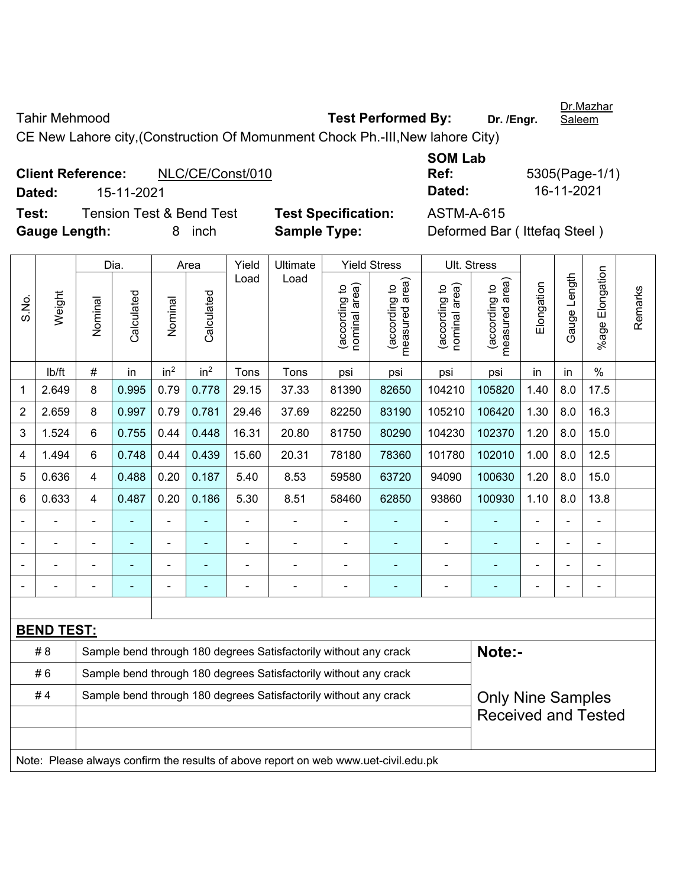Tahir Mehmood **Test Performed By:** Dr. /Engr.

Dr.Mazhar **Saleem** 

CE New Lahore city,(Construction Of Momunment Chock Ph.-III,New lahore City)

**Client Reference:** NLC/CE/Const/010 **Dated:** 15-11-2021 **Dated:** 16-11-2021 **Test:** Tension Test & Bend Test **Test Specification:** ASTM-A-615 **Gauge Length:** 8 inch **Sample Type:** Deformed Bar ( Ittefaq Steel )

**SOM Lab Ref:** 5305(Page-1/1)

|                |                   | Dia.<br>Yield<br>Ultimate<br><b>Yield Stress</b><br>Area |                                                                                     |                 |                 |                                                                  |                                                                  |                                |                                             | Ult. Stress                    |                                 |                |              |                      |         |
|----------------|-------------------|----------------------------------------------------------|-------------------------------------------------------------------------------------|-----------------|-----------------|------------------------------------------------------------------|------------------------------------------------------------------|--------------------------------|---------------------------------------------|--------------------------------|---------------------------------|----------------|--------------|----------------------|---------|
| S.No.          | Weight            | Nominal                                                  | Calculated                                                                          | Nominal         | Calculated      | Load                                                             | Load                                                             | nominal area)<br>(according to | (according to<br>neasured area)<br>measured | nominal area)<br>(according to | measured area)<br>(according to | Elongation     | Gauge Length | Elongation<br>%age I | Remarks |
|                | lb/ft             | #                                                        | in                                                                                  | in <sup>2</sup> | in <sup>2</sup> | Tons                                                             | Tons                                                             | psi                            | psi                                         | psi                            | psi                             | in             | in           | $\%$                 |         |
| 1              | 2.649             | 8                                                        | 0.995                                                                               | 0.79            | 0.778           | 29.15                                                            | 37.33                                                            | 81390                          | 82650                                       | 104210                         | 105820                          | 1.40           | 8.0          | 17.5                 |         |
| $\overline{2}$ | 2.659             | 8                                                        | 0.997                                                                               | 0.79            | 0.781           | 29.46                                                            | 37.69                                                            | 82250                          | 83190                                       | 105210                         | 106420                          | 1.30           | 8.0          | 16.3                 |         |
| 3              | 1.524             | 6                                                        | 0.755                                                                               | 0.44            | 0.448           | 16.31                                                            | 20.80                                                            | 81750                          | 80290                                       | 104230                         | 102370                          | 1.20           | 8.0          | 15.0                 |         |
| $\overline{4}$ | 1.494             | 6                                                        | 0.748                                                                               | 0.44            | 0.439           | 15.60                                                            | 20.31                                                            | 78180                          | 78360                                       | 101780                         | 102010                          | 1.00           | 8.0          | 12.5                 |         |
| 5              | 0.636             | $\overline{4}$                                           | 0.488                                                                               | 0.20            | 0.187           | 5.40                                                             | 8.53                                                             | 59580                          | 63720                                       | 94090                          | 100630                          | 1.20           | 8.0          | 15.0                 |         |
| 6              | 0.633             | 4                                                        | 0.487                                                                               | 0.20            | 0.186           | 5.30                                                             | 8.51                                                             | 58460                          | 62850                                       | 93860                          | 100930                          | 1.10           | 8.0          | 13.8                 |         |
|                |                   |                                                          |                                                                                     |                 |                 |                                                                  | $\blacksquare$                                                   |                                |                                             | $\overline{a}$                 | ä,                              |                |              |                      |         |
|                |                   |                                                          |                                                                                     | ÷               |                 |                                                                  | $\overline{\phantom{0}}$                                         |                                |                                             |                                |                                 |                |              |                      |         |
|                |                   |                                                          |                                                                                     | ۰               |                 |                                                                  | $\overline{a}$                                                   |                                |                                             | $\blacksquare$                 | ÷                               |                | ÷            | -                    |         |
|                |                   |                                                          |                                                                                     | $\blacksquare$  | ÷               | $\blacksquare$                                                   | $\overline{\phantom{a}}$                                         | $\blacksquare$                 |                                             | $\blacksquare$                 | ۰                               | $\blacksquare$ | ÷            | ÷,                   |         |
|                |                   |                                                          |                                                                                     |                 |                 |                                                                  |                                                                  |                                |                                             |                                |                                 |                |              |                      |         |
|                | <b>BEND TEST:</b> |                                                          |                                                                                     |                 |                 |                                                                  |                                                                  |                                |                                             |                                |                                 |                |              |                      |         |
|                | # 8               |                                                          |                                                                                     |                 |                 |                                                                  | Sample bend through 180 degrees Satisfactorily without any crack |                                |                                             |                                | Note:-                          |                |              |                      |         |
|                | #6                |                                                          |                                                                                     |                 |                 | Sample bend through 180 degrees Satisfactorily without any crack |                                                                  |                                |                                             |                                |                                 |                |              |                      |         |
|                | #4                |                                                          |                                                                                     |                 |                 |                                                                  | Sample bend through 180 degrees Satisfactorily without any crack |                                |                                             |                                | <b>Only Nine Samples</b>        |                |              |                      |         |
|                |                   |                                                          |                                                                                     |                 |                 |                                                                  |                                                                  |                                |                                             |                                | <b>Received and Tested</b>      |                |              |                      |         |
|                |                   |                                                          |                                                                                     |                 |                 |                                                                  |                                                                  |                                |                                             |                                |                                 |                |              |                      |         |
|                |                   |                                                          | Note: Please always confirm the results of above report on web www.uet-civil.edu.pk |                 |                 |                                                                  |                                                                  |                                |                                             |                                |                                 |                |              |                      |         |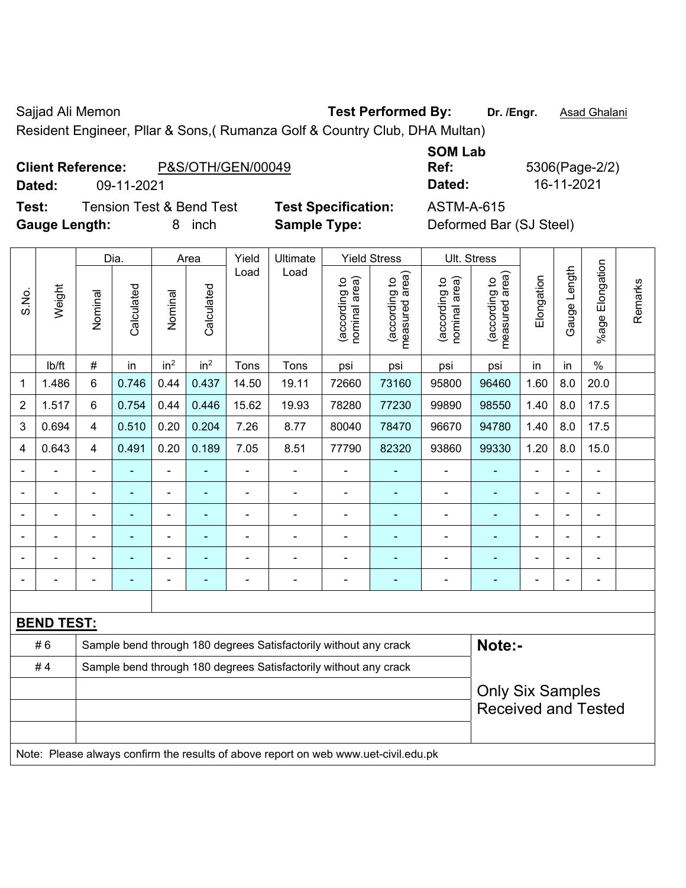Sajjad Ali Memon **Test Performed By:** Dr. /Engr. **Asad Ghalani** 

Resident Engineer, Pllar & Sons,( Rumanza Golf & Country Club, DHA Multan)

## **Client Reference:** P&S/OTH/GEN/00049

**Test:** Tension Test & Bend Test **Test Specification:** ASTM-A-615 **Gauge Length:** 8 inch **Sample Type:** Deformed Bar (SJ Steel)

**SOM Lab Ref:** 5306(Page-2/2) **Dated:** 09-11-2021 **Dated:** 16-11-2021

|                |                   |                          | Dia.                                                  |                 | Area            | Yield          | Ultimate                                                                            |                               | <b>Yield Stress</b>             |                                | Ult. Stress                     |                |              |                         |         |
|----------------|-------------------|--------------------------|-------------------------------------------------------|-----------------|-----------------|----------------|-------------------------------------------------------------------------------------|-------------------------------|---------------------------------|--------------------------------|---------------------------------|----------------|--------------|-------------------------|---------|
| S.No.          | Weight            | Nominal                  | Calculated                                            | Nominal         | Calculated      | Load           | Load                                                                                | nominal area)<br>according to | measured area)<br>(according to | nominal area)<br>(according to | (according to<br>measured area) | Elongation     | Gauge Length | Elongation<br>$%$ age I | Remarks |
|                | lb/ft             | $\#$                     | in                                                    | in <sup>2</sup> | in <sup>2</sup> | Tons           | Tons                                                                                | psi                           | psi                             | psi                            | psi                             | in             | in           | $\frac{0}{0}$           |         |
| 1              | 1.486             | 6                        | 0.746                                                 | 0.44            | 0.437           | 14.50          | 19.11                                                                               | 72660                         | 73160                           | 95800                          | 96460                           | 1.60           | 8.0          | 20.0                    |         |
| $\overline{2}$ | 1.517             | 6                        | 0.754                                                 | 0.44            | 0.446           | 15.62          | 19.93                                                                               | 78280                         | 77230                           | 99890                          | 98550                           | 1.40           | 8.0          | 17.5                    |         |
| 3              | 0.694             | $\overline{\mathbf{4}}$  | 0.510                                                 | 0.20            | 0.204           | 7.26           | 8.77                                                                                | 80040                         | 78470                           | 96670                          | 94780                           | 1.40           | 8.0          | 17.5                    |         |
| 4              | 0.643             | $\overline{4}$           | 0.491                                                 | 0.20            | 0.189           | 7.05           | 8.51                                                                                | 77790                         | 82320                           | 93860                          | 99330                           | 1.20           | 8.0          | 15.0                    |         |
|                | ä,                | $\blacksquare$           | ä,                                                    | $\blacksquare$  |                 | $\blacksquare$ | $\blacksquare$                                                                      | $\blacksquare$                |                                 | $\blacksquare$                 | $\blacksquare$                  | $\blacksquare$ | ÷.           | ÷,                      |         |
|                | ÷                 | $\overline{\phantom{a}}$ | $\blacksquare$                                        | $\blacksquare$  |                 | $\blacksquare$ | $\overline{\phantom{0}}$                                                            | $\blacksquare$                | $\blacksquare$                  | $\blacksquare$                 | $\blacksquare$                  | L,             |              | ÷,                      |         |
| $\blacksquare$ | $\overline{a}$    | $\blacksquare$           | $\blacksquare$                                        | $\overline{a}$  | ÷.              | $\blacksquare$ | $\blacksquare$                                                                      | $\blacksquare$                | ä,                              | $\blacksquare$                 | $\blacksquare$                  | $\blacksquare$ |              | ä,                      |         |
|                |                   |                          | $\blacksquare$                                        |                 |                 | Ē,             | $\blacksquare$                                                                      | Ē,                            |                                 |                                |                                 |                |              | $\blacksquare$          |         |
|                |                   |                          |                                                       |                 |                 |                |                                                                                     | $\blacksquare$                |                                 |                                |                                 |                |              |                         |         |
|                |                   | $\overline{\phantom{0}}$ | $\blacksquare$                                        |                 |                 |                | ۰                                                                                   | $\overline{\phantom{0}}$      | $\blacksquare$                  |                                | $\blacksquare$                  | $\blacksquare$ |              | $\blacksquare$          |         |
|                |                   |                          |                                                       |                 |                 |                |                                                                                     |                               |                                 |                                |                                 |                |              |                         |         |
|                | <b>BEND TEST:</b> |                          |                                                       |                 |                 |                |                                                                                     |                               |                                 |                                |                                 |                |              |                         |         |
|                | #6                |                          |                                                       |                 |                 |                | Sample bend through 180 degrees Satisfactorily without any crack                    |                               |                                 |                                | Note:-                          |                |              |                         |         |
|                | #4                |                          |                                                       |                 |                 |                | Sample bend through 180 degrees Satisfactorily without any crack                    |                               |                                 |                                |                                 |                |              |                         |         |
|                |                   |                          | <b>Only Six Samples</b><br><b>Received and Tested</b> |                 |                 |                |                                                                                     |                               |                                 |                                |                                 |                |              |                         |         |
|                |                   |                          |                                                       |                 |                 |                | Note: Please always confirm the results of above report on web www.uet-civil.edu.pk |                               |                                 |                                |                                 |                |              |                         |         |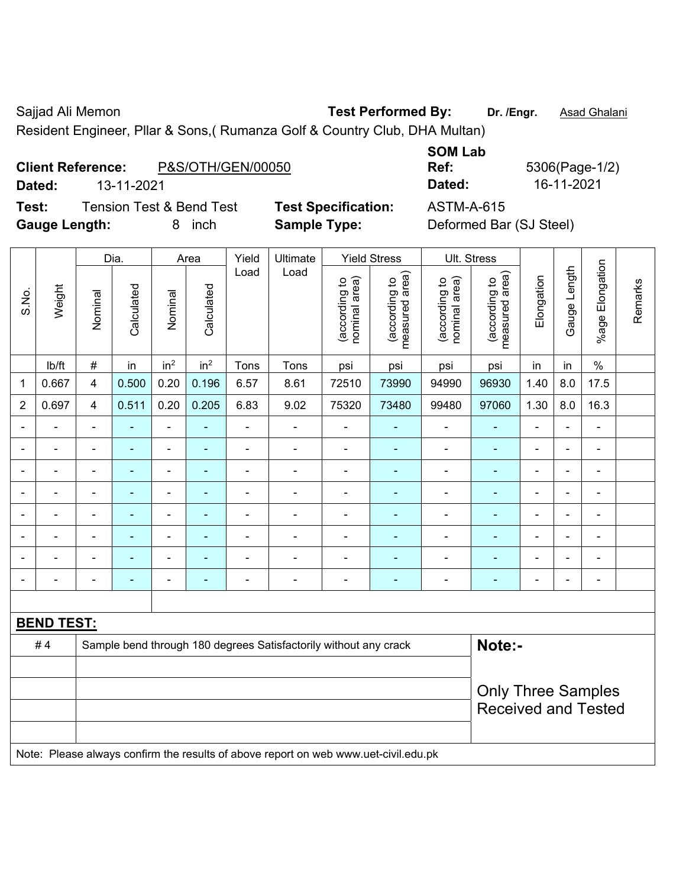Sajjad Ali Memon **Test Performed By:** Dr. /Engr. **Asad Ghalani** 

Resident Engineer, Pllar & Sons,( Rumanza Golf & Country Club, DHA Multan)

## **Client Reference:** P&S/OTH/GEN/00050

**Test:** Tension Test & Bend Test **Test Specification:** ASTM-A-615 **Gauge Length:** 8 inch **Sample Type:** Deformed Bar (SJ Steel)

**SOM Lab** 

|                |                          |                          | Yield<br><b>Yield Stress</b><br>Ult. Stress<br>Dia.<br>Ultimate<br>Area |                          |                 |                |                                                                                     |                                |                                 |                                |                                 |                |                          |                       |         |
|----------------|--------------------------|--------------------------|-------------------------------------------------------------------------|--------------------------|-----------------|----------------|-------------------------------------------------------------------------------------|--------------------------------|---------------------------------|--------------------------------|---------------------------------|----------------|--------------------------|-----------------------|---------|
| S.No.          | Weight                   | Nominal                  | Calculated                                                              | Nominal                  | Calculated      | Load           | Load                                                                                | (according to<br>nominal area) | (according to<br>measured area) | nominal area)<br>(according to | (according to<br>measured area) | Elongation     | Gauge Length             | Elongation<br>$%$ age | Remarks |
|                | lb/ft                    | $\#$                     | in                                                                      | in <sup>2</sup>          | in <sup>2</sup> | Tons           | Tons                                                                                | psi                            | psi                             | psi                            | psi                             | in             | in                       | $\%$                  |         |
| 1              | 0.667                    | $\overline{4}$           | 0.500                                                                   | 0.20                     | 0.196           | 6.57           | 8.61                                                                                | 72510                          | 73990                           | 94990                          | 96930                           | 1.40           | 8.0                      | 17.5                  |         |
| $\overline{2}$ | 0.697                    | $\overline{4}$           | 0.511                                                                   | 0.20                     | 0.205           | 6.83           | 9.02                                                                                | 75320                          | 73480                           | 99480                          | 97060                           | 1.30           | 8.0                      | 16.3                  |         |
|                | $\blacksquare$           | $\overline{\phantom{a}}$ | ÷,                                                                      | $\blacksquare$           |                 | ÷,             | ÷,                                                                                  | $\blacksquare$                 |                                 | $\overline{\phantom{a}}$       | $\blacksquare$                  | ÷,             | $\overline{\phantom{a}}$ | ÷,                    |         |
|                | $\overline{\phantom{a}}$ | $\blacksquare$           | ۰                                                                       | $\overline{\phantom{a}}$ | ۰               | $\blacksquare$ | ÷                                                                                   | $\blacksquare$                 | ۰                               | $\overline{\phantom{a}}$       | $\blacksquare$                  | ÷              | $\blacksquare$           | ÷                     |         |
|                | $\blacksquare$           | $\blacksquare$           | $\blacksquare$                                                          | ÷,                       | ۰               | $\blacksquare$ | $\overline{a}$                                                                      | ä,                             | ٠                               | $\blacksquare$                 | $\blacksquare$                  | $\overline{a}$ |                          | $\blacksquare$        |         |
|                | $\blacksquare$           | $\overline{\phantom{a}}$ | ÷,                                                                      | $\overline{a}$           | ۰               | $\blacksquare$ | ä,                                                                                  | ä,                             |                                 | ä,                             | $\blacksquare$                  | ä,             |                          | ä,                    |         |
|                |                          |                          | $\blacksquare$                                                          | ۰                        |                 |                | $\blacksquare$                                                                      | $\blacksquare$                 |                                 | $\blacksquare$                 | $\blacksquare$                  | $\blacksquare$ |                          | $\blacksquare$        |         |
|                |                          |                          |                                                                         | $\blacksquare$           |                 |                | $\blacksquare$                                                                      | $\blacksquare$                 |                                 | ä,                             |                                 |                |                          |                       |         |
|                |                          |                          | ÷                                                                       | ۰                        |                 |                | $\blacksquare$                                                                      | $\blacksquare$                 | ۰                               |                                |                                 |                |                          | $\blacksquare$        |         |
|                | $\blacksquare$           | $\blacksquare$           | ۰                                                                       | $\overline{\phantom{a}}$ | ۰               | $\blacksquare$ | $\blacksquare$                                                                      | $\blacksquare$                 | ۰                               | $\overline{\phantom{a}}$       | $\blacksquare$                  | $\blacksquare$ |                          | ÷,                    |         |
|                |                          |                          |                                                                         |                          |                 |                |                                                                                     |                                |                                 |                                |                                 |                |                          |                       |         |
|                | <b>BEND TEST:</b>        |                          |                                                                         |                          |                 |                |                                                                                     |                                |                                 |                                |                                 |                |                          |                       |         |
|                | #4                       |                          |                                                                         |                          |                 |                | Sample bend through 180 degrees Satisfactorily without any crack                    |                                |                                 |                                | Note:-                          |                |                          |                       |         |
|                |                          |                          |                                                                         |                          |                 |                |                                                                                     |                                |                                 |                                |                                 |                |                          |                       |         |
|                |                          |                          | <b>Only Three Samples</b>                                               |                          |                 |                |                                                                                     |                                |                                 |                                |                                 |                |                          |                       |         |
|                |                          |                          |                                                                         |                          |                 |                |                                                                                     |                                |                                 |                                | <b>Received and Tested</b>      |                |                          |                       |         |
|                |                          |                          |                                                                         |                          |                 |                |                                                                                     |                                |                                 |                                |                                 |                |                          |                       |         |
|                |                          |                          |                                                                         |                          |                 |                | Note: Please always confirm the results of above report on web www.uet-civil.edu.pk |                                |                                 |                                |                                 |                |                          |                       |         |

**Ref:** 5306(Page-1/2) **Dated:** 13-11-2021 **Dated:** 16-11-2021